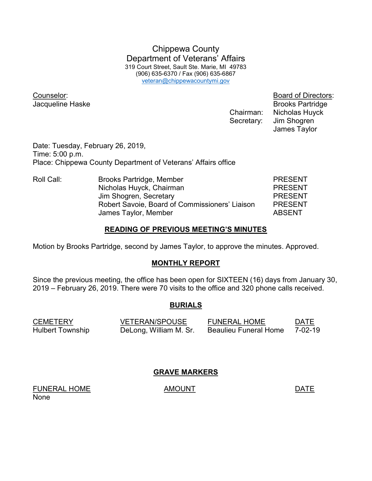Chippewa County Department of Veterans' Affairs 319 Court Street, Sault Ste. Marie, MI 49783 (906) 635-6370 / Fax (906) 635-6867 veteran@chippewacountymi.gov

Counselor: Board of Directors:

**Jacqueline Haske** Brooks Partridge Chairman: Nicholas Huyck Secretary: Jim Shogren James Taylor

Date: Tuesday, February 26, 2019, Time: 5:00 p.m. Place: Chippewa County Department of Veterans' Affairs office

| Roll Call: | Brooks Partridge, Member                       | <b>PRESENT</b> |
|------------|------------------------------------------------|----------------|
|            | Nicholas Huyck, Chairman                       | <b>PRESENT</b> |
|            | Jim Shogren, Secretary                         | <b>PRESENT</b> |
|            | Robert Savoie, Board of Commissioners' Liaison | <b>PRESENT</b> |
|            | James Taylor, Member                           | <b>ABSENT</b>  |

## READING OF PREVIOUS MEETING'S MINUTES

Motion by Brooks Partridge, second by James Taylor, to approve the minutes. Approved.

## MONTHLY REPORT

Since the previous meeting, the office has been open for SIXTEEN (16) days from January 30, 2019 – February 26, 2019. There were 70 visits to the office and 320 phone calls received.

## BURIALS

| <b>CEMETERY</b>  | <b>VETERAN/SPOUSE</b>  | <b>FUNERAL HOME</b>          | DATE          |
|------------------|------------------------|------------------------------|---------------|
| Hulbert Township | DeLong, William M. Sr. | <b>Beaulieu Funeral Home</b> | $7 - 02 - 19$ |

## GRAVE MARKERS

FUNERAL HOME AMOUNT AMOUNT None